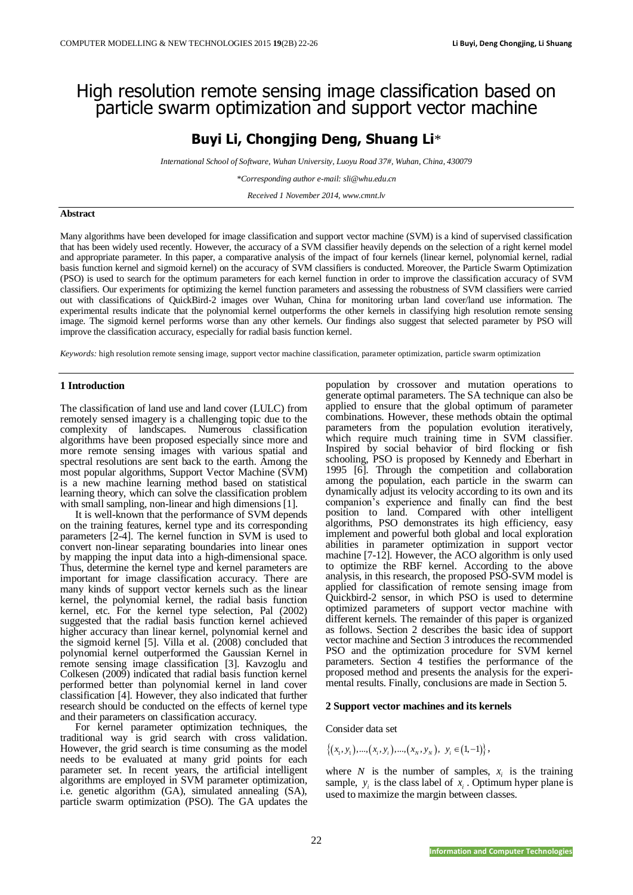# High resolution remote sensing image classification based on particle swarm optimization and support vector machine

## **Buyi Li, Chongjing Deng, Shuang Li**\*

*International School of Software, Wuhan University, Luoyu Road 37#, Wuhan, China, 430079*

*\*Corresponding author e-mail: sli@whu.edu.cn*

*Received 1 November 2014, www.cmnt.lv*

#### **Abstract**

Many algorithms have been developed for image classification and support vector machine (SVM) is a kind of supervised classification that has been widely used recently. However, the accuracy of a SVM classifier heavily depends on the selection of a right kernel model and appropriate parameter. In this paper, a comparative analysis of the impact of four kernels (linear kernel, polynomial kernel, radial basis function kernel and sigmoid kernel) on the accuracy of SVM classifiers is conducted. Moreover, the Particle Swarm Optimization (PSO) is used to search for the optimum parameters for each kernel function in order to improve the classification accuracy of SVM classifiers. Our experiments for optimizing the kernel function parameters and assessing the robustness of SVM classifiers were carried out with classifications of QuickBird-2 images over Wuhan, China for monitoring urban land cover/land use information. The experimental results indicate that the polynomial kernel outperforms the other kernels in classifying high resolution remote sensing image. The sigmoid kernel performs worse than any other kernels. Our findings also suggest that selected parameter by PSO will improve the classification accuracy, especially for radial basis function kernel.

*Keywords:* high resolution remote sensing image, support vector machine classification, parameter optimization, particle swarm optimization

#### **1 Introduction**

The classification of land use and land cover (LULC) from remotely sensed imagery is a challenging topic due to the complexity of landscapes. Numerous classification algorithms have been proposed especially since more and more remote sensing images with various spatial and spectral resolutions are sent back to the earth. Among the most popular algorithms, Support Vector Machine (SVM) is a new machine learning method based on statistical learning theory, which can solve the classification problem with small sampling, non-linear and high dimensions [1].

It is well-known that the performance of SVM depends on the training features, kernel type and its corresponding parameters [2-4]. The kernel function in SVM is used to convert non-linear separating boundaries into linear ones by mapping the input data into a high-dimensional space. Thus, determine the kernel type and kernel parameters are important for image classification accuracy. There are many kinds of support vector kernels such as the linear kernel, the polynomial kernel, the radial basis function kernel, etc. For the kernel type selection, Pal (2002) suggested that the radial basis function kernel achieved higher accuracy than linear kernel, polynomial kernel and the sigmoid kernel [5]. Villa et al. (2008) concluded that polynomial kernel outperformed the Gaussian Kernel in remote sensing image classification [3]. Kavzoglu and Colkesen (2009) indicated that radial basis function kernel performed better than polynomial kernel in land cover classification [4]. However, they also indicated that further research should be conducted on the effects of kernel type and their parameters on classification accuracy.

For kernel parameter optimization techniques, the traditional way is grid search with cross validation. However, the grid search is time consuming as the model needs to be evaluated at many grid points for each parameter set. In recent years, the artificial intelligent algorithms are employed in SVM parameter optimization, i.e. genetic algorithm (GA), simulated annealing (SA), particle swarm optimization (PSO). The GA updates the

population by crossover and mutation operations to generate optimal parameters. The SA technique can also be applied to ensure that the global optimum of parameter combinations. However, these methods obtain the optimal parameters from the population evolution iteratively, which require much training time in SVM classifier. Inspired by social behavior of bird flocking or fish schooling, PSO is proposed by Kennedy and Eberhart in 1995 [6]. Through the competition and collaboration among the population, each particle in the swarm can dynamically adjust its velocity according to its own and its companion's experience and finally can find the best position to land. Compared with other intelligent algorithms, PSO demonstrates its high efficiency, easy implement and powerful both global and local exploration abilities in parameter optimization in support vector machine [7-12]. However, the ACO algorithm is only used to optimize the RBF kernel. According to the above analysis, in this research, the proposed PSO-SVM model is applied for classification of remote sensing image from Quickbird-2 sensor, in which PSO is used to determine optimized parameters of support vector machine with different kernels. The remainder of this paper is organized as follows. Section 2 describes the basic idea of support vector machine and Section 3 introduces the recommended PSO and the optimization procedure for SVM kernel parameters. Section 4 testifies the performance of the proposed method and presents the analysis for the experimental results. Finally, conclusions are made in Section 5.

#### **2 Support vector machines and its kernels**

### Consider data set

$$
\{(x_1, y_1), ..., (x_i, y_i), ..., (x_N, y_N), y_i \in (1, -1)\},\
$$

where *N* is the number of samples,  $x_i$  is the training sample,  $y_i$  is the class label of  $x_i$ . Optimum hyper plane is used to maximize the margin between classes.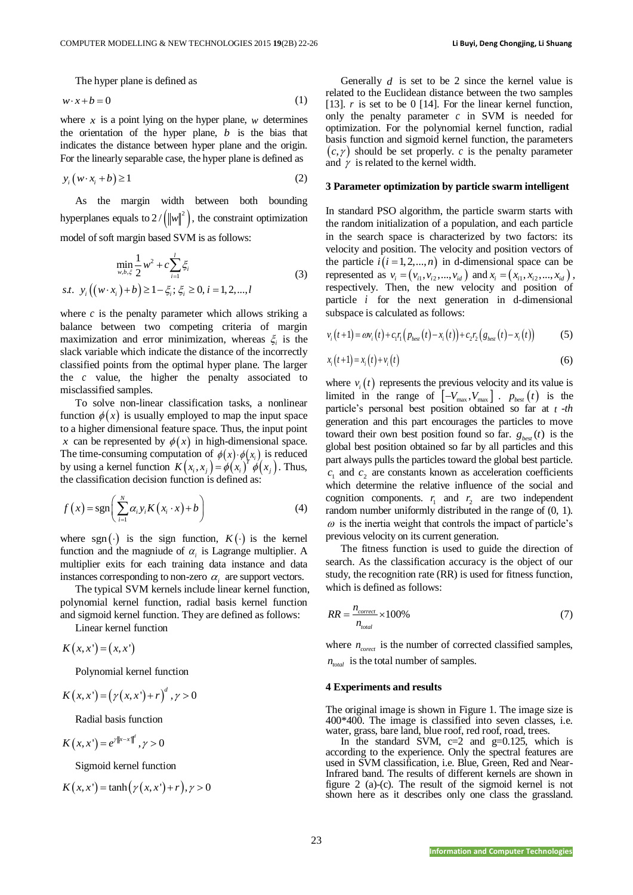The hyper plane is defined as

$$
w \cdot x + b = 0 \tag{1}
$$

where  $x$  is a point lying on the hyper plane,  $w$  determines the orientation of the hyper plane, *b* is the bias that indicates the distance between hyper plane and the origin. For the linearly separable case, the hyper plane is defined as

$$
y_i(w \cdot x_i + b) \ge 1 \tag{2}
$$

As the margin width between both bounding hyperplanes equals to  $2 / (\Vert w \Vert^2)$ , the constraint optimization model of soft margin based SVM is as follows:

$$
\min_{w,b,\xi} \frac{1}{2} w^2 + c \sum_{i=1}^{l} \xi_i
$$
  
s.t.  $y_i ((w \cdot x_i) + b) \ge 1 - \xi_i; \xi_i \ge 0, i = 1, 2, ..., l$  (3)

where  $c$  is the penalty parameter which allows striking a balance between two competing criteria of margin maximization and error minimization, whereas  $\xi$  is the slack variable which indicate the distance of the incorrectly classified points from the optimal hyper plane. The larger the *c* value, the higher the penalty associated to misclassified samples.

To solve non-linear classification tasks, a nonlinear function  $\phi(x)$  is usually employed to map the input space to a higher dimensional feature space. Thus, the input point x can be represented by  $\phi(x)$  in high-dimensional space. The time-consuming computation of  $\phi(x) \cdot \phi(x_i)$  is reduced by using a kernel function  $K(x_i, x_j) = \phi(x_i)^T \phi(x_j)$ . Thus, the classification decision function is defined as:

$$
f(x) = sgn\left(\sum_{i=1}^{N} \alpha_i y_i K(x_i \cdot x) + b\right)
$$
 (4)

where sgn( $\cdot$ ) is the sign function,  $K(\cdot)$  is the kernel function and the magniude of  $\alpha_i$  is Lagrange multiplier. A multiplier exits for each training data instance and data instances corresponding to non-zero  $\alpha_i$  are support vectors.

The typical SVM kernels include linear kernel function, polynomial kernel function, radial basis kernel function and sigmoid kernel function. They are defined as follows:

Linear kernel function

 $K(x, x') = (x, x')$ 

Polynomial kernel function

$$
K(x,x') = (\gamma(x,x') + r)^d, \gamma > 0
$$

Radial basis function

$$
K(x, x') = e^{\gamma \|x - x\|^d}, \gamma > 0
$$

Sigmoid kernel function

$$
K(x, x') = \tanh(\gamma(x, x') + r), \gamma > 0
$$

Generally  $d$  is set to be 2 since the kernel value is related to the Euclidean distance between the two samples [13].  $r$  is set to be 0 [14]. For the linear kernel function, only the penalty parameter  $c$  in SVM is needed for optimization. For the polynomial kernel function, radial basis function and sigmoid kernel function, the parameters  $(c, \gamma)$  should be set properly. *c* is the penalty parameter and  $\gamma$  is related to the kernel width.

#### **3 Parameter optimization by particle swarm intelligent**

In standard PSO algorithm, the particle swarm starts with the random initialization of a population, and each particle in the search space is characterized by two factors: its velocity and position. The velocity and position vectors of the particle  $i(i = 1, 2, ..., n)$  in d-dimensional space can be represented as  $v_i = (v_{i1}, v_{i2}, ..., v_{id})$  and  $x_i = (x_{i1}, x_{i2}, ..., x_{id})$ , respectively. Then, the new velocity and position of particle *i* for the next generation in d-dimensional subspace is calculated as follows:

subspace is calculated as follows:  

$$
v_i(t+1) = \omega v_i(t) + c_i r_1 (p_{best}(t) - x_i(t)) + c_2 r_2 (g_{best}(t) - x_i(t))
$$
(5)

$$
x_i(t+1) = x_i(t) + v_i(t)
$$
 (6)

where  $v_i(t)$  represents the previous velocity and its value is limited in the range of  $\left[-V_{\text{max}}, V_{\text{max}}\right]$ .  $p_{\text{best}}(t)$  is the particle's personal best position obtained so far at *t* -*th* generation and this part encourages the particles to move toward their own best position found so far.  $g_{\text{best}}(t)$  is the global best position obtained so far by all particles and this part always pulls the particles toward the global best particle.  $c_1$  and  $c_2$  are constants known as acceleration coefficients which determine the relative influence of the social and cognition components.  $r_1$  and  $r_2$  are two independent random number uniformly distributed in the range of  $(0, 1)$ .  $\omega$  is the inertia weight that controls the impact of particle's previous velocity on its current generation.

The fitness function is used to guide the direction of search. As the classification accuracy is the object of our study, the recognition rate (RR) is used for fitness function, which is defined as follows:

$$
RR = \frac{n_{correct}}{n_{total}} \times 100\%
$$
\n(7)

where  $n_{\text{correct}}$  is the number of corrected classified samples,  $n_{total}$  is the total number of samples.

#### **4 Experiments and results**

The original image is shown in Figure 1. The image size is 400\*400. The image is classified into seven classes, i.e. water, grass, bare land, blue roof, red roof, road, trees.

In the standard SVM,  $c=2$  and  $g=0.125$ , which is according to the experience. Only the spectral features are used in SVM classification, i.e. Blue, Green, Red and Near-Infrared band. The results of different kernels are shown in figure 2 (a)-(c). The result of the sigmoid kernel is not shown here as it describes only one class the grassland.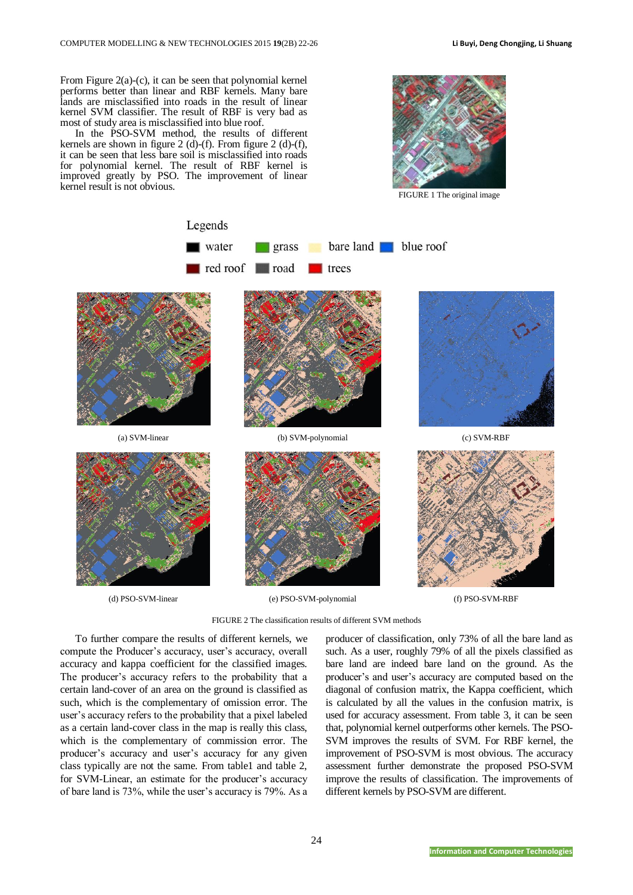From Figure 2(a)-(c), it can be seen that polynomial kernel performs better than linear and RBF kernels. Many bare lands are misclassified into roads in the result of linear kernel SVM classifier. The result of RBF is very bad as most of study area is misclassified into blue roof.

In the PSO-SVM method, the results of different kernels are shown in figure 2 (d)-(f). From figure 2 (d)-(f), it can be seen that less bare soil is misclassified into roads for polynomial kernel. The result of RBF kernel is improved greatly by PSO. The improvement of linear kernel result is not obvious.



FIGURE 1 The original image



FIGURE 2 The classification results of different SVM methods

To further compare the results of different kernels, we compute the Producer's accuracy, user's accuracy, overall accuracy and kappa coefficient for the classified images. The producer's accuracy refers to the probability that a certain land-cover of an area on the ground is classified as such, which is the complementary of omission error. The user's accuracy refers to the probability that a pixel labeled as a certain land-cover class in the map is really this class, which is the complementary of commission error. The producer's accuracy and user's accuracy for any given class typically are not the same. From table1 and table 2, for SVM-Linear, an estimate for the producer's accuracy of bare land is 73%, while the user's accuracy is 79%. As a producer of classification, only 73% of all the bare land as such. As a user, roughly 79% of all the pixels classified as bare land are indeed bare land on the ground. As the producer's and user's accuracy are computed based on the diagonal of confusion matrix, the Kappa coefficient, which is calculated by all the values in the confusion matrix, is used for accuracy assessment. From table 3, it can be seen that, polynomial kernel outperforms other kernels. The PSO-SVM improves the results of SVM. For RBF kernel, the improvement of PSO-SVM is most obvious. The accuracy assessment further demonstrate the proposed PSO-SVM improve the results of classification. The improvements of different kernels by PSO-SVM are different.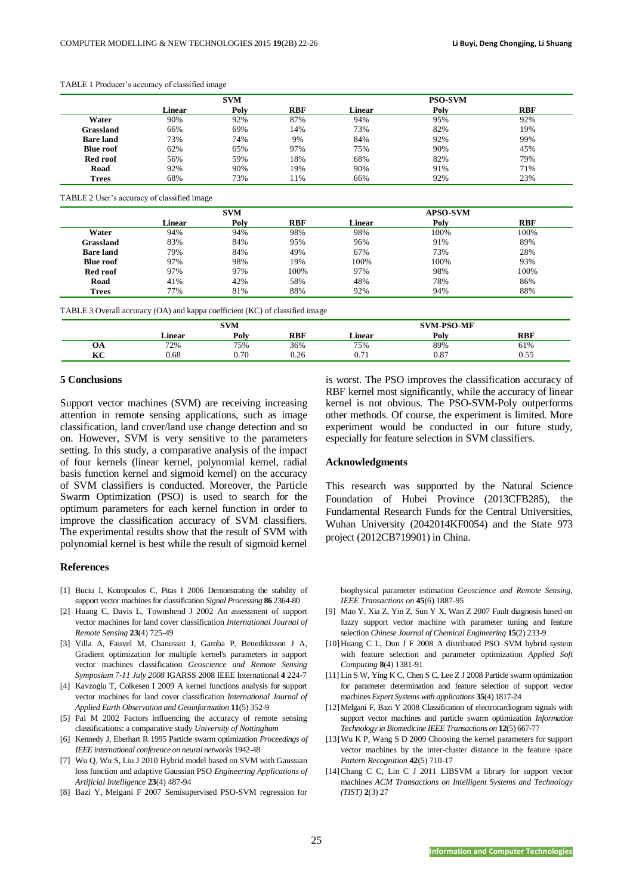|                  | <b>SVM</b> |      |            | <b>PSO-SVM</b> |      |            |  |
|------------------|------------|------|------------|----------------|------|------------|--|
|                  | Linear     | Poly | <b>RBF</b> | Linear         | Polv | <b>RBF</b> |  |
| Water            | 90%        | 92%  | 87%        | 94%            | 95%  | 92%        |  |
| Grassland        | 66%        | 69%  | 14%        | 73%            | 82%  | 19%        |  |
| <b>Bare land</b> | 73%        | 74%  | 9%         | 84%            | 92%  | 99%        |  |
| <b>Blue roof</b> | 62%        | 65%  | 97%        | 75%            | 90%  | 45%        |  |
| Red roof         | 56%        | 59%  | 18%        | 68%            | 82%  | 79%        |  |
| Road             | 92%        | 90%  | 19%        | 90%            | 91%  | 71%        |  |
| <b>Trees</b>     | 68%        | 73%  | 11%        | 66%            | 92%  | 23%        |  |

#### TABLE 1 Producer's accuracy of classified image

TABLE 2 User's accuracy of classified image

|                  | <b>SVM</b> |      |            | <b>APSO-SVM</b> |      |            |
|------------------|------------|------|------------|-----------------|------|------------|
|                  | Linear     | Poly | <b>RBF</b> | Linear          | Poly | <b>RBF</b> |
| Water            | 94%        | 94%  | 98%        | 98%             | 100% | 100%       |
| Grassland        | 83%        | 84%  | 95%        | 96%             | 91%  | 89%        |
| <b>Bare</b> land | 79%        | 84%  | 49%        | 67%             | 73%  | 28%        |
| <b>Blue roof</b> | 97%        | 98%  | 19%        | 100%            | 100% | 93%        |
| Red roof         | 97%        | 97%  | 100%       | 97%             | 98%  | 100%       |
| Road             | 41%        | 42%  | 58%        | 48%             | 78%  | 86%        |
| <b>Trees</b>     | 77%        | 81%  | 88%        | 92%             | 94%  | 88%        |

TABLE 3 Overall accuracy (OA) and kappa coefficient (KC) of classified image

|                  | <b>SVM</b> |      |      | <b>SVM-PSO-MF</b>  |      |              |  |
|------------------|------------|------|------|--------------------|------|--------------|--|
|                  | Linear     | Poly | RBF  | ∟inear             | Poly | <b>RBF</b>   |  |
| UA               | 72%        | 75%  | 36%  | 75%                | 89%  | 61%          |  |
| <b>IZC</b><br>nc | 0.68       | 0.70 | 0.26 | $-$<br><u>v. L</u> | 0.87 | $ -$<br>U.JJ |  |

## **5 Conclusions**

Support vector machines (SVM) are receiving increasing attention in remote sensing applications, such as image classification, land cover/land use change detection and so on. However, SVM is very sensitive to the parameters setting. In this study, a comparative analysis of the impact of four kernels (linear kernel, polynomial kernel, radial basis function kernel and sigmoid kernel) on the accuracy of SVM classifiers is conducted. Moreover, the Particle Swarm Optimization (PSO) is used to search for the optimum parameters for each kernel function in order to improve the classification accuracy of SVM classifiers. The experimental results show that the result of SVM with polynomial kernel is best while the result of sigmoid kernel

#### **References**

- [1] Buciu I, Kotropoulos C, Pitas I 2006 Demonstrating the stability of support vector machines for classification *Signal Processing* **86** 2364-80
- [2] Huang C, Davis L, Townshend J 2002 An assessment of support vector machines for land cover classification *International Journal of Remote Sensing* **23**(4) 725-49
- [3] Villa A, Fauvel M, Chanussot J, Gamba P, Benediktsson J A, Gradient optimization for multiple kernel's parameters in support vector machines classification *Geoscience and Remote Sensing Symposium 7-11 July 2008* IGARSS 2008 IEEE International **4** 224-7
- [4] Kavzoglu T, Colkesen I 2009 A kernel functions analysis for support vector machines for land cover classification *International Journal of Applied Earth Observation and Geoinformation* **11**(5) 352-9
- [5] Pal M 2002 Factors influencing the accuracy of remote sensing classifications: a comparative study *University of Nottingham*
- [6] Kennedy J, Eberhart R 1995 Particle swarm optimization *Proceedings of IEEE international conference on neural networks* 1942-48
- [7] Wu Q, Wu S, Liu J 2010 Hybrid model based on SVM with Gaussian loss function and adaptive Gaussian PSO *Engineering Applications of Artificial Intelligence* **23**(4) 487-94
- [8] Bazi Y, Melgani F 2007 Semisupervised PSO-SVM regression for

is worst. The PSO improves the classification accuracy of RBF kernel most significantly, while the accuracy of linear kernel is not obvious. The PSO-SVM-Poly outperforms other methods. Of course, the experiment is limited. More experiment would be conducted in our future study, especially for feature selection in SVM classifiers.

#### **Acknowledgments**

This research was supported by the Natural Science Foundation of Hubei Province (2013CFB285), the Fundamental Research Funds for the Central Universities, Wuhan University (2042014KF0054) and the State 973 project (2012CB719901) in China.

biophysical parameter estimation *Geoscience and Remote Sensing, IEEE Transactions on* **45**(6) 1887-95

- [9] Mao Y, Xia Z, Yin Z, Sun Y X, Wan Z 2007 Fault diagnosis based on fuzzy support vector machine with parameter tuning and feature selection *Chinese Journal of Chemical Engineering* **15**(2) 233-9
- [10]Huang C L, Dun J F 2008 A distributed PSO–SVM hybrid system with feature selection and parameter optimization *Applied Soft Computing* **8**(4) 1381-91
- [11] Lin S W, Ying K C, Chen S C, Lee Z J 2008 Particle swarm optimization for parameter determination and feature selection of support vector machines *Expert Systems with applications* **35**(4) 1817-24
- [12]Melgani F, Bazi Y 2008 Classification of electrocardiogram signals with support vector machines and particle swarm optimization *Information Technology in Biomedicine IEEE Transactions on* **12**(5) 667-77
- [13]Wu K P, Wang S D 2009 Choosing the kernel parameters for support vector machines by the inter-cluster distance in the feature space *Pattern Recognition* **42**(5) 710-17
- [14]Chang C C, Lin C J 2011 LIBSVM a library for support vector machines *ACM Transactions on Intelligent Systems and Technology (TIST)* **2**(3) 27